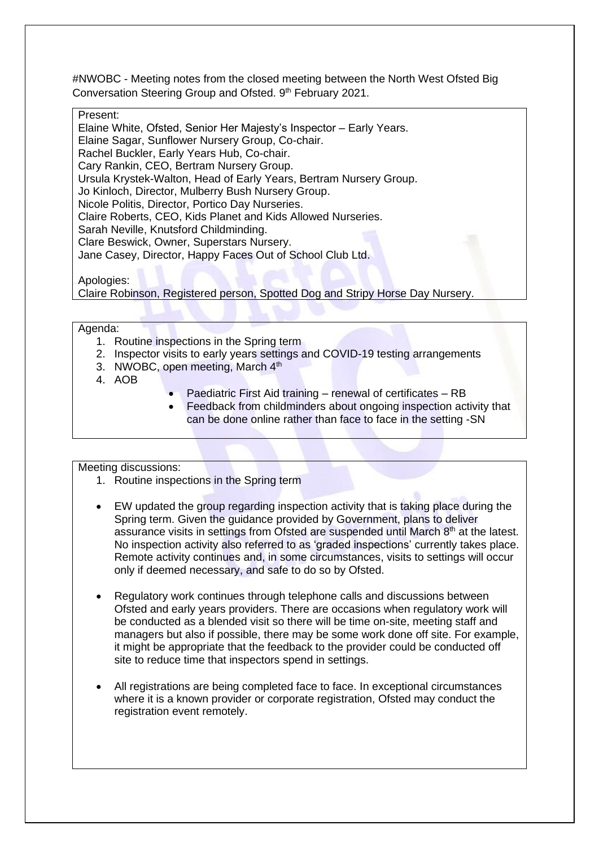#NWOBC - Meeting notes from the closed meeting between the North West Ofsted Big Conversation Steering Group and Ofsted. 9th February 2021.

## Present:

Elaine White, Ofsted, Senior Her Majesty's Inspector – Early Years. Elaine Sagar, Sunflower Nursery Group, Co-chair. Rachel Buckler, Early Years Hub, Co-chair. Cary Rankin, CEO, Bertram Nursery Group. Ursula Krystek-Walton, Head of Early Years, Bertram Nursery Group. Jo Kinloch, Director, Mulberry Bush Nursery Group. Nicole Politis, Director, Portico Day Nurseries. Claire Roberts, CEO, Kids Planet and Kids Allowed Nurseries. Sarah Neville, Knutsford Childminding. Clare Beswick, Owner, Superstars Nursery. Jane Casey, Director, Happy Faces Out of School Club Ltd.

Apologies:

Claire Robinson, Registered person, Spotted Dog and Stripy Horse Day Nursery.

Agenda:

- 1. Routine inspections in the Spring term
- 2. Inspector visits to early years settings and COVID-19 testing arrangements
- 3. NWOBC, open meeting, March 4<sup>th</sup>
- 4. AOB
- Paediatric First Aid training renewal of certificates RB
- Feedback from childminders about ongoing inspection activity that can be done online rather than face to face in the setting -SN

Meeting discussions:

- 1. Routine inspections in the Spring term
- EW updated the group regarding inspection activity that is taking place during the Spring term. Given the guidance provided by Government, plans to deliver assurance visits in settings from Ofsted are suspended until March 8<sup>th</sup> at the latest. No inspection activity also referred to as 'graded inspections' currently takes place. Remote activity continues and, in some circumstances, visits to settings will occur only if deemed necessary, and safe to do so by Ofsted.
- Regulatory work continues through telephone calls and discussions between Ofsted and early years providers. There are occasions when regulatory work will be conducted as a blended visit so there will be time on-site, meeting staff and managers but also if possible, there may be some work done off site. For example, it might be appropriate that the feedback to the provider could be conducted off site to reduce time that inspectors spend in settings.
- All registrations are being completed face to face. In exceptional circumstances where it is a known provider or corporate registration, Ofsted may conduct the registration event remotely.